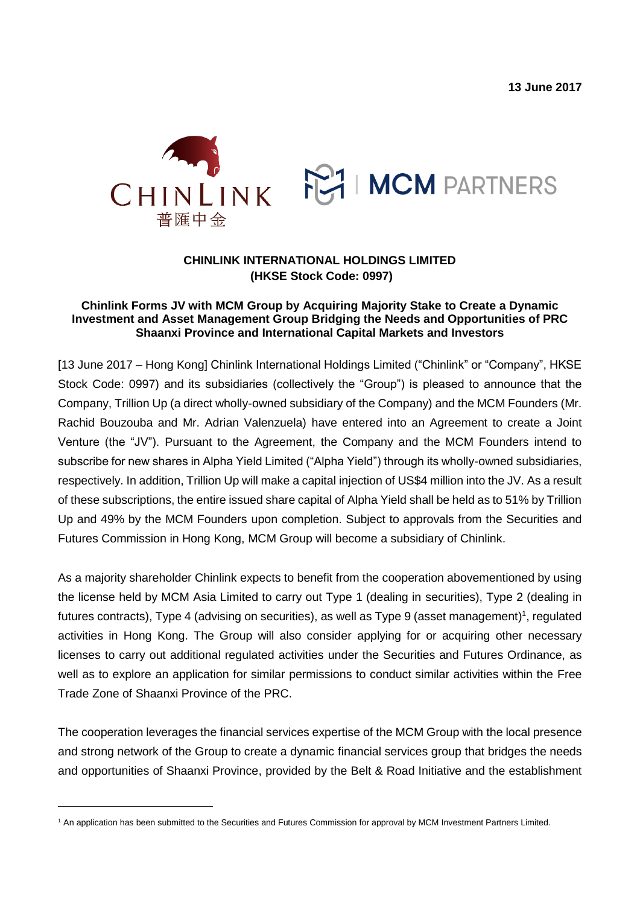**13 June 2017**



## **CHINLINK INTERNATIONAL HOLDINGS LIMITED (HKSE Stock Code: 0997)**

## **Chinlink Forms JV with MCM Group by Acquiring Majority Stake to Create a Dynamic Investment and Asset Management Group Bridging the Needs and Opportunities of PRC Shaanxi Province and International Capital Markets and Investors**

[13 June 2017 – Hong Kong] Chinlink International Holdings Limited ("Chinlink" or "Company", HKSE Stock Code: 0997) and its subsidiaries (collectively the "Group") is pleased to announce that the Company, Trillion Up (a direct wholly-owned subsidiary of the Company) and the MCM Founders (Mr. Rachid Bouzouba and Mr. Adrian Valenzuela) have entered into an Agreement to create a Joint Venture (the "JV"). Pursuant to the Agreement, the Company and the MCM Founders intend to subscribe for new shares in Alpha Yield Limited ("Alpha Yield") through its wholly-owned subsidiaries, respectively. In addition, Trillion Up will make a capital injection of US\$4 million into the JV. As a result of these subscriptions, the entire issued share capital of Alpha Yield shall be held as to 51% by Trillion Up and 49% by the MCM Founders upon completion. Subject to approvals from the Securities and Futures Commission in Hong Kong, MCM Group will become a subsidiary of Chinlink.

As a majority shareholder Chinlink expects to benefit from the cooperation abovementioned by using the license held by MCM Asia Limited to carry out Type 1 (dealing in securities), Type 2 (dealing in futures contracts), Type 4 (advising on securities), as well as Type 9 (asset management)<sup>1</sup>, regulated activities in Hong Kong. The Group will also consider applying for or acquiring other necessary licenses to carry out additional regulated activities under the Securities and Futures Ordinance, as well as to explore an application for similar permissions to conduct similar activities within the Free Trade Zone of Shaanxi Province of the PRC.

The cooperation leverages the financial services expertise of the MCM Group with the local presence and strong network of the Group to create a dynamic financial services group that bridges the needs and opportunities of Shaanxi Province, provided by the Belt & Road Initiative and the establishment

 $\overline{a}$ 

<sup>1</sup> An application has been submitted to the Securities and Futures Commission for approval by MCM Investment Partners Limited.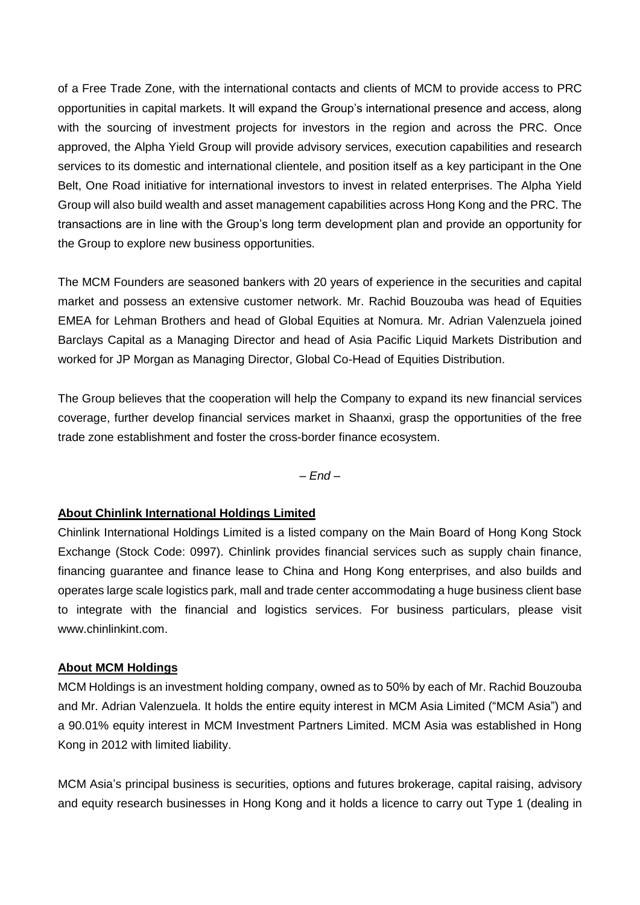of a Free Trade Zone, with the international contacts and clients of MCM to provide access to PRC opportunities in capital markets. It will expand the Group's international presence and access, along with the sourcing of investment projects for investors in the region and across the PRC. Once approved, the Alpha Yield Group will provide advisory services, execution capabilities and research services to its domestic and international clientele, and position itself as a key participant in the One Belt, One Road initiative for international investors to invest in related enterprises. The Alpha Yield Group will also build wealth and asset management capabilities across Hong Kong and the PRC. The transactions are in line with the Group's long term development plan and provide an opportunity for the Group to explore new business opportunities.

The MCM Founders are seasoned bankers with 20 years of experience in the securities and capital market and possess an extensive customer network. Mr. Rachid Bouzouba was head of Equities EMEA for Lehman Brothers and head of Global Equities at Nomura. Mr. Adrian Valenzuela joined Barclays Capital as a Managing Director and head of Asia Pacific Liquid Markets Distribution and worked for JP Morgan as Managing Director, Global Co-Head of Equities Distribution.

The Group believes that the cooperation will help the Company to expand its new financial services coverage, further develop financial services market in Shaanxi, grasp the opportunities of the free trade zone establishment and foster the cross-border finance ecosystem.

*– End –*

## **About Chinlink International Holdings Limited**

Chinlink International Holdings Limited is a listed company on the Main Board of Hong Kong Stock Exchange (Stock Code: 0997). Chinlink provides financial services such as supply chain finance, financing guarantee and finance lease to China and Hong Kong enterprises, and also builds and operates large scale logistics park, mall and trade center accommodating a huge business client base to integrate with the financial and logistics services. For business particulars, please visit [www.chinlinkint.com.](http://www.chinlinkint.com/)

## **About MCM Holdings**

MCM Holdings is an investment holding company, owned as to 50% by each of Mr. Rachid Bouzouba and Mr. Adrian Valenzuela. It holds the entire equity interest in MCM Asia Limited ("MCM Asia") and a 90.01% equity interest in MCM Investment Partners Limited. MCM Asia was established in Hong Kong in 2012 with limited liability.

MCM Asia's principal business is securities, options and futures brokerage, capital raising, advisory and equity research businesses in Hong Kong and it holds a licence to carry out Type 1 (dealing in